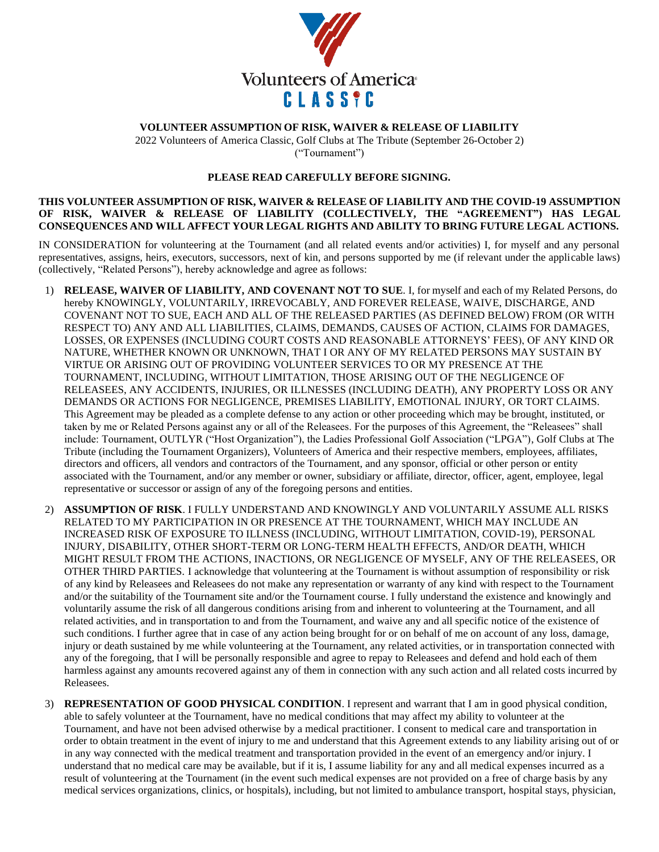

## **VOLUNTEER ASSUMPTION OF RISK, WAIVER & RELEASE OF LIABILITY**

2022 Volunteers of America Classic, Golf Clubs at The Tribute (September 26-October 2) ("Tournament")

## **PLEASE READ CAREFULLY BEFORE SIGNING.**

## **THIS VOLUNTEER ASSUMPTION OF RISK, WAIVER & RELEASE OF LIABILITY AND THE COVID-19 ASSUMPTION OF RISK, WAIVER & RELEASE OF LIABILITY (COLLECTIVELY, THE "AGREEMENT") HAS LEGAL CONSEQUENCES AND WILL AFFECT YOUR LEGAL RIGHTS AND ABILITY TO BRING FUTURE LEGAL ACTIONS.**

IN CONSIDERATION for volunteering at the Tournament (and all related events and/or activities) I, for myself and any personal representatives, assigns, heirs, executors, successors, next of kin, and persons supported by me (if relevant under the applicable laws) (collectively, "Related Persons"), hereby acknowledge and agree as follows:

- 1) **RELEASE, WAIVER OF LIABILITY, AND COVENANT NOT TO SUE**. I, for myself and each of my Related Persons, do hereby KNOWINGLY, VOLUNTARILY, IRREVOCABLY, AND FOREVER RELEASE, WAIVE, DISCHARGE, AND COVENANT NOT TO SUE, EACH AND ALL OF THE RELEASED PARTIES (AS DEFINED BELOW) FROM (OR WITH RESPECT TO) ANY AND ALL LIABILITIES, CLAIMS, DEMANDS, CAUSES OF ACTION, CLAIMS FOR DAMAGES, LOSSES, OR EXPENSES (INCLUDING COURT COSTS AND REASONABLE ATTORNEYS' FEES), OF ANY KIND OR NATURE, WHETHER KNOWN OR UNKNOWN, THAT I OR ANY OF MY RELATED PERSONS MAY SUSTAIN BY VIRTUE OR ARISING OUT OF PROVIDING VOLUNTEER SERVICES TO OR MY PRESENCE AT THE TOURNAMENT, INCLUDING, WITHOUT LIMITATION, THOSE ARISING OUT OF THE NEGLIGENCE OF RELEASEES, ANY ACCIDENTS, INJURIES, OR ILLNESSES (INCLUDING DEATH), ANY PROPERTY LOSS OR ANY DEMANDS OR ACTIONS FOR NEGLIGENCE, PREMISES LIABILITY, EMOTIONAL INJURY, OR TORT CLAIMS. This Agreement may be pleaded as a complete defense to any action or other proceeding which may be brought, instituted, or taken by me or Related Persons against any or all of the Releasees. For the purposes of this Agreement, the "Releasees" shall include: Tournament, OUTLYR ("Host Organization"), the Ladies Professional Golf Association ("LPGA"), Golf Clubs at The Tribute (including the Tournament Organizers), Volunteers of America and their respective members, employees, affiliates, directors and officers, all vendors and contractors of the Tournament, and any sponsor, official or other person or entity associated with the Tournament, and/or any member or owner, subsidiary or affiliate, director, officer, agent, employee, legal representative or successor or assign of any of the foregoing persons and entities.
- 2) **ASSUMPTION OF RISK**. I FULLY UNDERSTAND AND KNOWINGLY AND VOLUNTARILY ASSUME ALL RISKS RELATED TO MY PARTICIPATION IN OR PRESENCE AT THE TOURNAMENT, WHICH MAY INCLUDE AN INCREASED RISK OF EXPOSURE TO ILLNESS (INCLUDING, WITHOUT LIMITATION, COVID-19), PERSONAL INJURY, DISABILITY, OTHER SHORT-TERM OR LONG-TERM HEALTH EFFECTS, AND/OR DEATH, WHICH MIGHT RESULT FROM THE ACTIONS, INACTIONS, OR NEGLIGENCE OF MYSELF, ANY OF THE RELEASEES, OR OTHER THIRD PARTIES. I acknowledge that volunteering at the Tournament is without assumption of responsibility or risk of any kind by Releasees and Releasees do not make any representation or warranty of any kind with respect to the Tournament and/or the suitability of the Tournament site and/or the Tournament course. I fully understand the existence and knowingly and voluntarily assume the risk of all dangerous conditions arising from and inherent to volunteering at the Tournament, and all related activities, and in transportation to and from the Tournament, and waive any and all specific notice of the existence of such conditions. I further agree that in case of any action being brought for or on behalf of me on account of any loss, damage, injury or death sustained by me while volunteering at the Tournament, any related activities, or in transportation connected with any of the foregoing, that I will be personally responsible and agree to repay to Releasees and defend and hold each of them harmless against any amounts recovered against any of them in connection with any such action and all related costs incurred by Releasees.
- 3) **REPRESENTATION OF GOOD PHYSICAL CONDITION**. I represent and warrant that I am in good physical condition, able to safely volunteer at the Tournament, have no medical conditions that may affect my ability to volunteer at the Tournament, and have not been advised otherwise by a medical practitioner. I consent to medical care and transportation in order to obtain treatment in the event of injury to me and understand that this Agreement extends to any liability arising out of or in any way connected with the medical treatment and transportation provided in the event of an emergency and/or injury. I understand that no medical care may be available, but if it is, I assume liability for any and all medical expenses incurred as a result of volunteering at the Tournament (in the event such medical expenses are not provided on a free of charge basis by any medical services organizations, clinics, or hospitals), including, but not limited to ambulance transport, hospital stays, physician,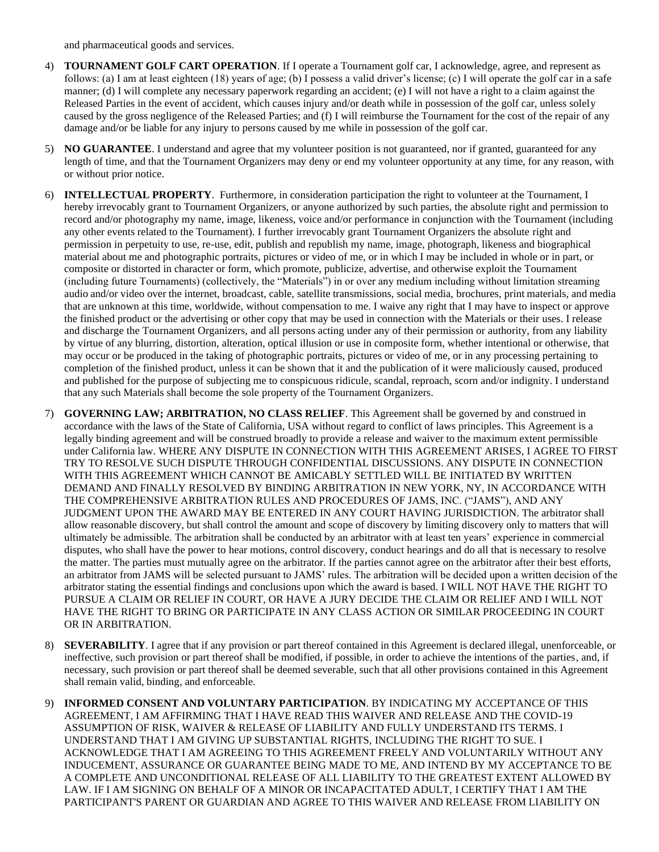and pharmaceutical goods and services.

- 4) **TOURNAMENT GOLF CART OPERATION**. If I operate a Tournament golf car, I acknowledge, agree, and represent as follows: (a) I am at least eighteen (18) years of age; (b) I possess a valid driver's license; (c) I will operate the golf car in a safe manner; (d) I will complete any necessary paperwork regarding an accident; (e) I will not have a right to a claim against the Released Parties in the event of accident, which causes injury and/or death while in possession of the golf car, unless solely caused by the gross negligence of the Released Parties; and (f) I will reimburse the Tournament for the cost of the repair of any damage and/or be liable for any injury to persons caused by me while in possession of the golf car.
- 5) **NO GUARANTEE**. I understand and agree that my volunteer position is not guaranteed, nor if granted, guaranteed for any length of time, and that the Tournament Organizers may deny or end my volunteer opportunity at any time, for any reason, with or without prior notice.
- 6) **INTELLECTUAL PROPERTY**. Furthermore, in consideration participation the right to volunteer at the Tournament, I hereby irrevocably grant to Tournament Organizers, or anyone authorized by such parties, the absolute right and permission to record and/or photography my name, image, likeness, voice and/or performance in conjunction with the Tournament (including any other events related to the Tournament). I further irrevocably grant Tournament Organizers the absolute right and permission in perpetuity to use, re-use, edit, publish and republish my name, image, photograph, likeness and biographical material about me and photographic portraits, pictures or video of me, or in which I may be included in whole or in part, or composite or distorted in character or form, which promote, publicize, advertise, and otherwise exploit the Tournament (including future Tournaments) (collectively, the "Materials") in or over any medium including without limitation streaming audio and/or video over the internet, broadcast, cable, satellite transmissions, social media, brochures, print materials, and media that are unknown at this time, worldwide, without compensation to me. I waive any right that I may have to inspect or approve the finished product or the advertising or other copy that may be used in connection with the Materials or their uses. I release and discharge the Tournament Organizers, and all persons acting under any of their permission or authority, from any liability by virtue of any blurring, distortion, alteration, optical illusion or use in composite form, whether intentional or otherwise, that may occur or be produced in the taking of photographic portraits, pictures or video of me, or in any processing pertaining to completion of the finished product, unless it can be shown that it and the publication of it were maliciously caused, produced and published for the purpose of subjecting me to conspicuous ridicule, scandal, reproach, scorn and/or indignity. I understand that any such Materials shall become the sole property of the Tournament Organizers.
- 7) **GOVERNING LAW; ARBITRATION, NO CLASS RELIEF**. This Agreement shall be governed by and construed in accordance with the laws of the State of California, USA without regard to conflict of laws principles. This Agreement is a legally binding agreement and will be construed broadly to provide a release and waiver to the maximum extent permissible under California law. WHERE ANY DISPUTE IN CONNECTION WITH THIS AGREEMENT ARISES, I AGREE TO FIRST TRY TO RESOLVE SUCH DISPUTE THROUGH CONFIDENTIAL DISCUSSIONS. ANY DISPUTE IN CONNECTION WITH THIS AGREEMENT WHICH CANNOT BE AMICABLY SETTLED WILL BE INITIATED BY WRITTEN DEMAND AND FINALLY RESOLVED BY BINDING ARBITRATION IN NEW YORK, NY, IN ACCORDANCE WITH THE COMPREHENSIVE ARBITRATION RULES AND PROCEDURES OF JAMS, INC. ("JAMS"), AND ANY JUDGMENT UPON THE AWARD MAY BE ENTERED IN ANY COURT HAVING JURISDICTION. The arbitrator shall allow reasonable discovery, but shall control the amount and scope of discovery by limiting discovery only to matters that will ultimately be admissible. The arbitration shall be conducted by an arbitrator with at least ten years' experience in commercial disputes, who shall have the power to hear motions, control discovery, conduct hearings and do all that is necessary to resolve the matter. The parties must mutually agree on the arbitrator. If the parties cannot agree on the arbitrator after their best efforts, an arbitrator from JAMS will be selected pursuant to JAMS' rules. The arbitration will be decided upon a written decision of the arbitrator stating the essential findings and conclusions upon which the award is based. I WILL NOT HAVE THE RIGHT TO PURSUE A CLAIM OR RELIEF IN COURT, OR HAVE A JURY DECIDE THE CLAIM OR RELIEF AND I WILL NOT HAVE THE RIGHT TO BRING OR PARTICIPATE IN ANY CLASS ACTION OR SIMILAR PROCEEDING IN COURT OR IN ARBITRATION.
- 8) **SEVERABILITY**. I agree that if any provision or part thereof contained in this Agreement is declared illegal, unenforceable, or ineffective, such provision or part thereof shall be modified, if possible, in order to achieve the intentions of the parties, and, if necessary, such provision or part thereof shall be deemed severable, such that all other provisions contained in this Agreement shall remain valid, binding, and enforceable.
- 9) **INFORMED CONSENT AND VOLUNTARY PARTICIPATION**. BY INDICATING MY ACCEPTANCE OF THIS AGREEMENT, I AM AFFIRMING THAT I HAVE READ THIS WAIVER AND RELEASE AND THE COVID-19 ASSUMPTION OF RISK, WAIVER & RELEASE OF LIABILITY AND FULLY UNDERSTAND ITS TERMS. I UNDERSTAND THAT I AM GIVING UP SUBSTANTIAL RIGHTS, INCLUDING THE RIGHT TO SUE. I ACKNOWLEDGE THAT I AM AGREEING TO THIS AGREEMENT FREELY AND VOLUNTARILY WITHOUT ANY INDUCEMENT, ASSURANCE OR GUARANTEE BEING MADE TO ME, AND INTEND BY MY ACCEPTANCE TO BE A COMPLETE AND UNCONDITIONAL RELEASE OF ALL LIABILITY TO THE GREATEST EXTENT ALLOWED BY LAW. IF I AM SIGNING ON BEHALF OF A MINOR OR INCAPACITATED ADULT, I CERTIFY THAT I AM THE PARTICIPANT'S PARENT OR GUARDIAN AND AGREE TO THIS WAIVER AND RELEASE FROM LIABILITY ON